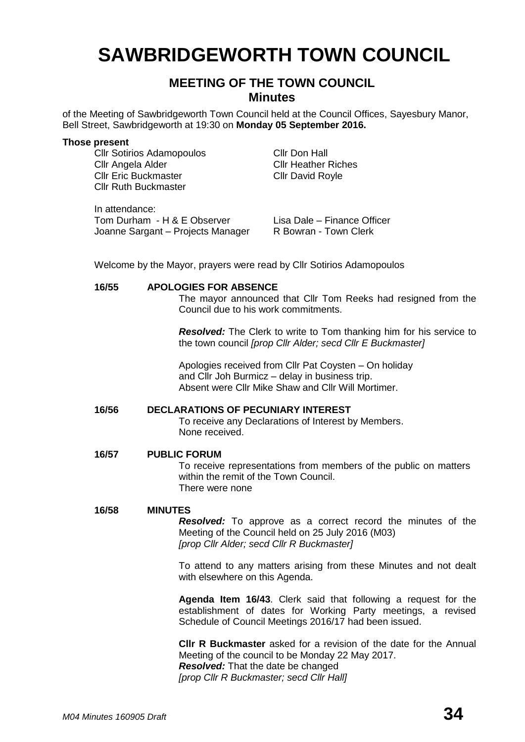# **SAWBRIDGEWORTH TOWN COUNCIL**

# **MEETING OF THE TOWN COUNCIL Minutes**

of the Meeting of Sawbridgeworth Town Council held at the Council Offices, Sayesbury Manor, Bell Street, Sawbridgeworth at 19:30 on **Monday 05 September 2016.**

#### **Those present**

Cllr Sotirios Adamopoulos Cllr Don Hall<br>Cllr Angela Alder Cllr Heather Cllr Eric Buckmaster Cllr David Royle Cllr Ruth Buckmaster

**Cllr Heather Riches** 

In attendance: Tom Durham - H & E Observer Lisa Dale – Finance Officer<br>Joanne Sargant – Projects Manager R Bowran - Town Clerk Joanne Sargant – Projects Manager

Welcome by the Mayor, prayers were read by Cllr Sotirios Adamopoulos

#### **16/55 APOLOGIES FOR ABSENCE**

The mayor announced that Cllr Tom Reeks had resigned from the Council due to his work commitments.

*Resolved:* The Clerk to write to Tom thanking him for his service to the town council *[prop Cllr Alder; secd Cllr E Buckmaster]*

Apologies received from Cllr Pat Coysten – On holiday and Cllr Joh Burmicz – delay in business trip. Absent were Cllr Mike Shaw and Cllr Will Mortimer.

#### **16/56 DECLARATIONS OF PECUNIARY INTEREST**

To receive any Declarations of Interest by Members. None received.

#### **16/57 PUBLIC FORUM**

To receive representations from members of the public on matters within the remit of the Town Council. There were none

#### **16/58 MINUTES**

*Resolved:* To approve as a correct record the minutes of the Meeting of the Council held on 25 July 2016 (M03) *[prop Cllr Alder; secd Cllr R Buckmaster]*

To attend to any matters arising from these Minutes and not dealt with elsewhere on this Agenda.

**Agenda Item 16/43**. Clerk said that following a request for the establishment of dates for Working Party meetings, a revised Schedule of Council Meetings 2016/17 had been issued.

**Cllr R Buckmaster** asked for a revision of the date for the Annual Meeting of the council to be Monday 22 May 2017. *Resolved:* That the date be changed *[prop Cllr R Buckmaster; secd Cllr Hall]*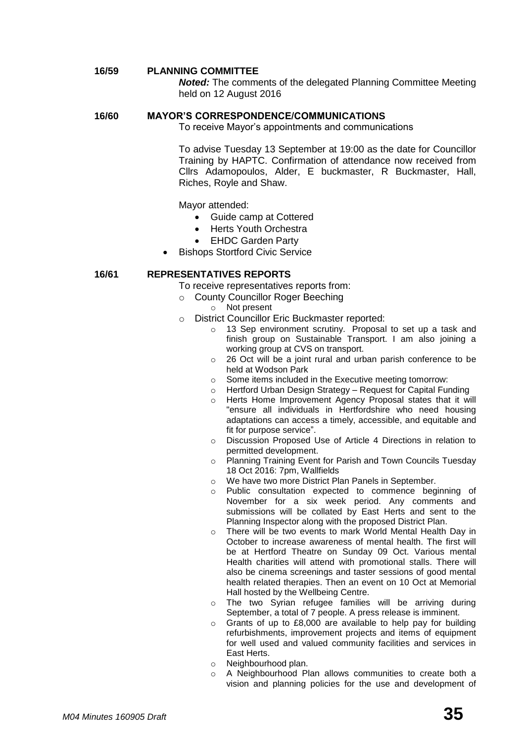#### **16/59 PLANNING COMMITTEE**

*Noted:* The comments of the delegated Planning Committee Meeting held on 12 August 2016

#### **16/60 MAYOR'S CORRESPONDENCE/COMMUNICATIONS**

To receive Mayor's appointments and communications

To advise Tuesday 13 September at 19:00 as the date for Councillor Training by HAPTC. Confirmation of attendance now received from Cllrs Adamopoulos, Alder, E buckmaster, R Buckmaster, Hall, Riches, Royle and Shaw.

Mayor attended:

- Guide camp at Cottered
- Herts Youth Orchestra
- EHDC Garden Party
- Bishops Stortford Civic Service

#### **16/61 REPRESENTATIVES REPORTS**

To receive representatives reports from:

- o County Councillor Roger Beeching
	- o Not present
- o District Councillor Eric Buckmaster reported:
	- o 13 Sep environment scrutiny. Proposal to set up a task and finish group on Sustainable Transport. I am also joining a working group at CVS on transport.
	- o 26 Oct will be a joint rural and urban parish conference to be held at Wodson Park
	- o Some items included in the Executive meeting tomorrow:<br>
	o Hertford Urban Design Strategy Request for Canital Fur
	- Hertford Urban Design Strategy Request for Capital Funding
	- Herts Home Improvement Agency Proposal states that it will "ensure all individuals in Hertfordshire who need housing adaptations can access a timely, accessible, and equitable and fit for purpose service".
	- o Discussion Proposed Use of Article 4 Directions in relation to permitted development.
	- o Planning Training Event for Parish and Town Councils Tuesday 18 Oct 2016: 7pm, Wallfields
	- o We have two more District Plan Panels in September.
	- o Public consultation expected to commence beginning of November for a six week period. Any comments and submissions will be collated by East Herts and sent to the Planning Inspector along with the proposed District Plan.
	- There will be two events to mark World Mental Health Day in October to increase awareness of mental health. The first will be at Hertford Theatre on Sunday 09 Oct. Various mental Health charities will attend with promotional stalls. There will also be cinema screenings and taster sessions of good mental health related therapies. Then an event on 10 Oct at Memorial Hall hosted by the Wellbeing Centre.
	- o The two Syrian refugee families will be arriving during September, a total of 7 people. A press release is imminent.
	- o Grants of up to £8,000 are available to help pay for building refurbishments, improvement projects and items of equipment for well used and valued community facilities and services in East Herts.
	- o Neighbourhood plan.
	- o A Neighbourhood Plan allows communities to create both a vision and planning policies for the use and development of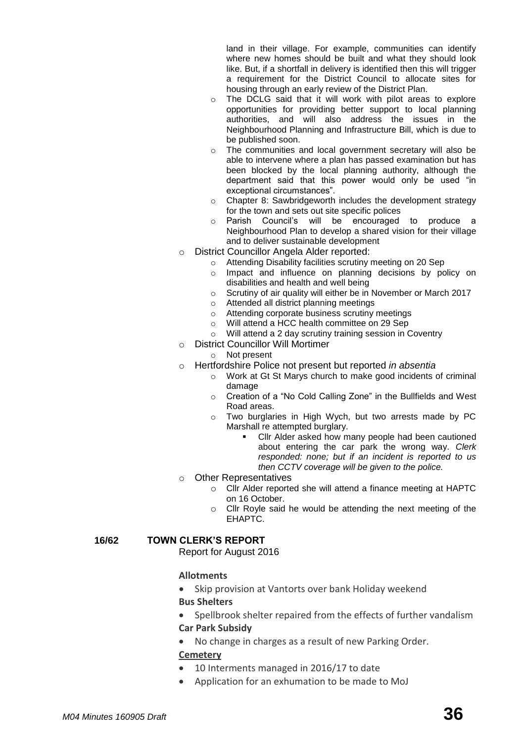land in their village. For example, communities can identify where new homes should be built and what they should look like. But, if a shortfall in delivery is identified then this will trigger a requirement for the District Council to allocate sites for housing through an early review of the District Plan.

- o The DCLG said that it will work with pilot areas to explore opportunities for providing better support to local planning authorities, and will also address the issues in the Neighbourhood Planning and Infrastructure Bill, which is due to be published soon.
- o The communities and local government secretary will also be able to intervene where a plan has passed examination but has been blocked by the local planning authority, although the department said that this power would only be used "in exceptional circumstances".
- o Chapter 8: Sawbridgeworth includes the development strategy for the town and sets out site specific polices
- o Parish Council's will be encouraged to produce a Neighbourhood Plan to develop a shared vision for their village and to deliver sustainable development
- o District Councillor Angela Alder reported:
	- o Attending Disability facilities scrutiny meeting on 20 Sep
	- o Impact and influence on planning decisions by policy on disabilities and health and well being
	- o Scrutiny of air quality will either be in November or March 2017
	- o Attended all district planning meetings
	- o Attending corporate business scrutiny meetings
	- o Will attend a HCC health committee on 29 Sep
	- o Will attend a 2 day scrutiny training session in Coventry
- o District Councillor Will Mortimer
	- o Not present
- o Hertfordshire Police not present but reported *in absentia*
	- o Work at Gt St Marys church to make good incidents of criminal damage
	- o Creation of a "No Cold Calling Zone" in the Bullfields and West Road areas.
	- o Two burglaries in High Wych, but two arrests made by PC Marshall re attempted burglary.
		- Cllr Alder asked how many people had been cautioned about entering the car park the wrong way. *Clerk responded: none; but if an incident is reported to us then CCTV coverage will be given to the police.*
- o Other Representatives
	- o Cllr Alder reported she will attend a finance meeting at HAPTC on 16 October.
	- o Cllr Royle said he would be attending the next meeting of the EHAPTC.

#### **16/62 TOWN CLERK'S REPORT**

Report for August 2016

#### **[Allotments](http://www.sawbridgeworth-tc.gov.uk/town-information/town-council-services/allotments)**

- Skip provision at Vantorts over bank Holiday weekend
- **Bus Shelters**
- Spellbrook shelter repaired from the effects of further vandalism

#### **Car Park Subsidy**

No change in charges as a result of new Parking Order.

#### **[Cemetery](http://www.sawbridgeworth-tc.gov.uk/town-information/town-council-services/cemetery)**

- 10 Interments managed in 2016/17 to date
- Application for an exhumation to be made to MoJ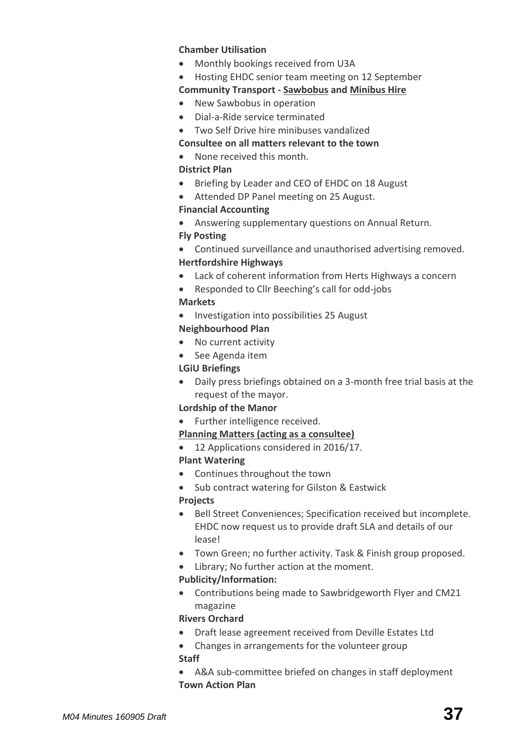#### **Chamber Utilisation**

- Monthly bookings received from U3A
- Hosting EHDC senior team meeting on 12 September

# **Community Transport - [Sawbobus](http://www.sawbridgeworth-tc.gov.uk/town-information/town-council-services/sawbobus) and [Minibus Hire](http://www.sawbridgeworth-tc.gov.uk/town-information/town-council-services/minibus-hire)**

- New Sawbobus in operation
- Dial-a-Ride service terminated
- Two Self Drive hire minibuses vandalized

### **Consultee on all matters relevant to the town**

None received this month.

# **District Plan**

- Briefing by Leader and CEO of EHDC on 18 August
- Attended DP Panel meeting on 25 August.

#### **Financial Accounting**

- Answering supplementary questions on Annual Return. **Fly Posting**
- Continued surveillance and unauthorised advertising removed. **Hertfordshire Highways**
- Lack of coherent information from Herts Highways a concern
- Responded to Cllr Beeching's call for odd-jobs

# **Markets**

• Investigation into possibilities 25 August

# **Neighbourhood Plan**

- No current activity
- See Agenda item

# **LGiU Briefings**

 Daily press briefings obtained on a 3-month free trial basis at the request of the mayor.

# **Lordship of the Manor**

• Further intelligence received.

# **[Planning Matters \(acting as a consultee\)](http://www.sawbridgeworth-tc.gov.uk/town-council/planning)**

• 12 Applications considered in 2016/17.

# **Plant Watering**

- Continues throughout the town
- Sub contract watering for Gilston & Eastwick

# **Projects**

- Bell Street Conveniences; Specification received but incomplete. EHDC now request us to provide draft SLA and details of our lease!
- Town Green; no further activity. Task & Finish group proposed.
- Library; No further action at the moment.

# **Publicity/Information:**

 Contributions being made to Sawbridgeworth Flyer and CM21 magazine

# **Rivers Orchard**

- Draft lease agreement received from Deville Estates Ltd
- Changes in arrangements for the volunteer group **Staff**
- A&A sub-committee briefed on changes in staff deployment **Town Action Plan**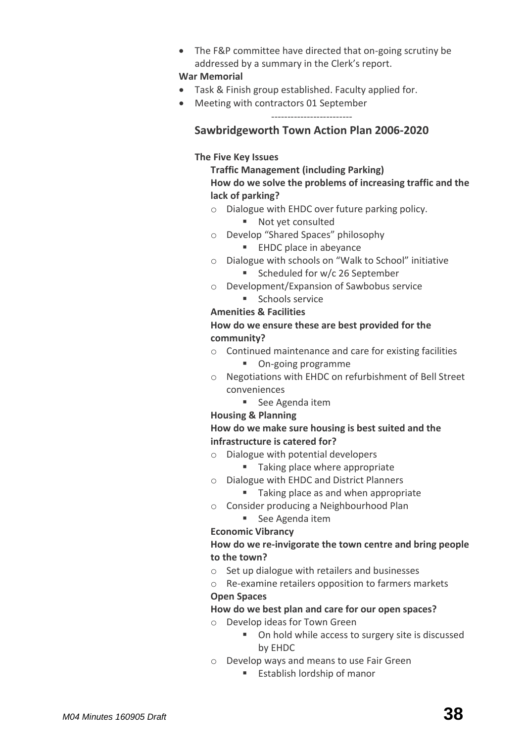The F&P committee have directed that on-going scrutiny be addressed by a summary in the Clerk's report.

#### **War Memorial**

- Task & Finish group established. Faculty applied for.
- Meeting with contractors 01 September -------------------------

**Sawbridgeworth Town Action Plan 2006-2020**

# **The Five Key Issues**

# **Traffic Management (including Parking) How do we solve the problems of increasing traffic and the lack of parking?**

- o Dialogue with EHDC over future parking policy.
	- Not yet consulted
- o Develop "Shared Spaces" philosophy
	- **EHDC** place in abevance
- o Dialogue with schools on "Walk to School" initiative
	- Scheduled for w/c 26 September
- o Development/Expansion of Sawbobus service
	- **Schools service**

# **Amenities & Facilities**

# **How do we ensure these are best provided for the community?**

- o Continued maintenance and care for existing facilities
	- **On-going programme**
- o Negotiations with EHDC on refurbishment of Bell Street conveniences
	- See Agenda item
- **Housing & Planning**

# **How do we make sure housing is best suited and the infrastructure is catered for?**

- o Dialogue with potential developers
	- Taking place where appropriate
- o Dialogue with EHDC and District Planners
	- Taking place as and when appropriate
- o Consider producing a Neighbourhood Plan
	- See Agenda item

# **Economic Vibrancy**

# **How do we re-invigorate the town centre and bring people to the town?**

- o Set up dialogue with retailers and businesses
- o Re-examine retailers opposition to farmers markets

# **Open Spaces**

# **How do we best plan and care for our open spaces?**

- o Develop ideas for Town Green
	- On hold while access to surgery site is discussed by EHDC
- o Develop ways and means to use Fair Green
	- **Establish lordship of manor**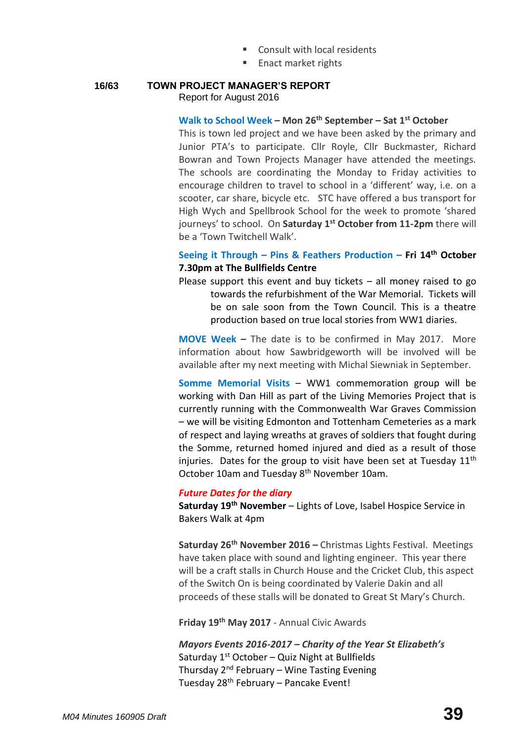- Consult with local residents
- Enact market rights

#### **16/63 TOWN PROJECT MANAGER'S REPORT** Report for August 2016

#### **Walk to School Week – Mon 26th September – Sat 1st October**

This is town led project and we have been asked by the primary and Junior PTA's to participate. Cllr Royle, Cllr Buckmaster, Richard Bowran and Town Projects Manager have attended the meetings. The schools are coordinating the Monday to Friday activities to encourage children to travel to school in a 'different' way, i.e. on a scooter, car share, bicycle etc. STC have offered a bus transport for High Wych and Spellbrook School for the week to promote 'shared journeys' to school. On **Saturday 1st October from 11-2pm** there will be a 'Town Twitchell Walk'.

# **Seeing it Through – Pins & Feathers Production – Fri 14th October 7.30pm at The Bullfields Centre**

Please support this event and buy tickets  $-$  all money raised to go towards the refurbishment of the War Memorial. Tickets will be on sale soon from the Town Council. This is a theatre production based on true local stories from WW1 diaries.

**MOVE Week –** The date is to be confirmed in May 2017. More information about how Sawbridgeworth will be involved will be available after my next meeting with Michal Siewniak in September.

**Somme Memorial Visits** – WW1 commemoration group will be working with Dan Hill as part of the Living Memories Project that is currently running with the Commonwealth War Graves Commission – we will be visiting Edmonton and Tottenham Cemeteries as a mark of respect and laying wreaths at graves of soldiers that fought during the Somme, returned homed injured and died as a result of those injuries. Dates for the group to visit have been set at Tuesday  $11<sup>th</sup>$ October 10am and Tuesday 8<sup>th</sup> November 10am.

#### *Future Dates for the diary*

**Saturday 19th November** – Lights of Love, Isabel Hospice Service in Bakers Walk at 4pm

**Saturday 26th November 2016 –** Christmas Lights Festival. Meetings have taken place with sound and lighting engineer. This year there will be a craft stalls in Church House and the Cricket Club, this aspect of the Switch On is being coordinated by Valerie Dakin and all proceeds of these stalls will be donated to Great St Mary's Church.

**Friday 19th May 2017** - Annual Civic Awards

*Mayors Events 2016-2017 – Charity of the Year St Elizabeth's* Saturday  $1<sup>st</sup>$  October – Quiz Night at Bullfields Thursday  $2^{nd}$  February – Wine Tasting Evening Tuesday 28th February – Pancake Event!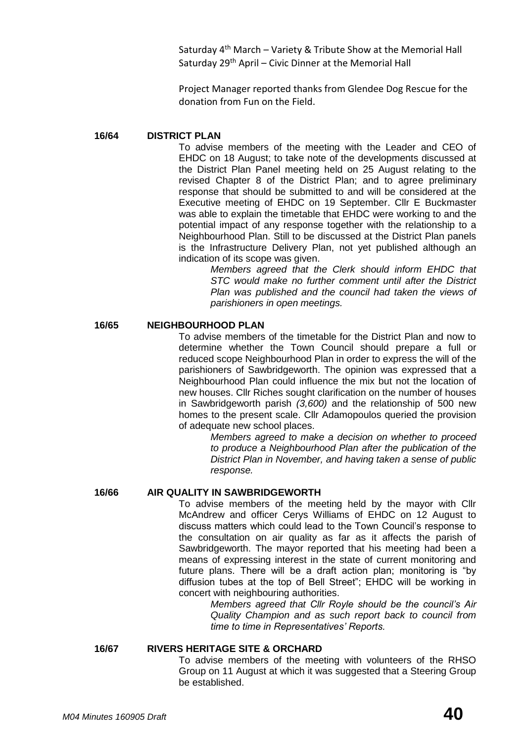Saturday  $4<sup>th</sup>$  March – Variety & Tribute Show at the Memorial Hall Saturday 29<sup>th</sup> April – Civic Dinner at the Memorial Hall

Project Manager reported thanks from Glendee Dog Rescue for the donation from Fun on the Field.

#### **16/64 DISTRICT PLAN**

To advise members of the meeting with the Leader and CEO of EHDC on 18 August; to take note of the developments discussed at the District Plan Panel meeting held on 25 August relating to the revised Chapter 8 of the District Plan; and to agree preliminary response that should be submitted to and will be considered at the Executive meeting of EHDC on 19 September. Cllr E Buckmaster was able to explain the timetable that EHDC were working to and the potential impact of any response together with the relationship to a Neighbourhood Plan. Still to be discussed at the District Plan panels is the Infrastructure Delivery Plan, not yet published although an indication of its scope was given.

*Members agreed that the Clerk should inform EHDC that STC would make no further comment until after the District Plan was published and the council had taken the views of parishioners in open meetings.*

**16/65 NEIGHBOURHOOD PLAN**

To advise members of the timetable for the District Plan and now to determine whether the Town Council should prepare a full or reduced scope Neighbourhood Plan in order to express the will of the parishioners of Sawbridgeworth. The opinion was expressed that a Neighbourhood Plan could influence the mix but not the location of new houses. Cllr Riches sought clarification on the number of houses in Sawbridgeworth parish *(3,600)* and the relationship of 500 new homes to the present scale. Cllr Adamopoulos queried the provision of adequate new school places.

> *Members agreed to make a decision on whether to proceed to produce a Neighbourhood Plan after the publication of the District Plan in November, and having taken a sense of public response.*

#### **16/66 AIR QUALITY IN SAWBRIDGEWORTH**

To advise members of the meeting held by the mayor with Cllr McAndrew and officer Cerys Williams of EHDC on 12 August to discuss matters which could lead to the Town Council's response to the consultation on air quality as far as it affects the parish of Sawbridgeworth. The mayor reported that his meeting had been a means of expressing interest in the state of current monitoring and future plans. There will be a draft action plan; monitoring is "by diffusion tubes at the top of Bell Street"; EHDC will be working in concert with neighbouring authorities.

> *Members agreed that Cllr Royle should be the council's Air Quality Champion and as such report back to council from time to time in Representatives' Reports.*

#### **16/67 RIVERS HERITAGE SITE & ORCHARD**

To advise members of the meeting with volunteers of the RHSO Group on 11 August at which it was suggested that a Steering Group be established.